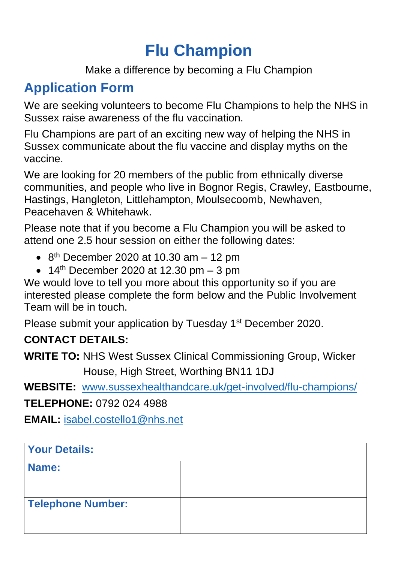# **Flu Champion**

Make a difference by becoming a Flu Champion

# **Application Form**

We are seeking volunteers to become Flu Champions to help the NHS in Sussex raise awareness of the flu vaccination.

Flu Champions are part of an exciting new way of helping the NHS in Sussex communicate about the flu vaccine and display myths on the vaccine.

We are looking for 20 members of the public from ethnically diverse communities, and people who live in Bognor Regis, Crawley, Eastbourne, Hastings, Hangleton, Littlehampton, Moulsecoomb, Newhaven, Peacehaven & Whitehawk.

Please note that if you become a Flu Champion you will be asked to attend one 2.5 hour session on either the following dates:

- $\bullet$  8<sup>th</sup> December 2020 at 10.30 am  $-$  12 pm
- $\bullet$  14<sup>th</sup> December 2020 at 12.30 pm  $-$  3 pm

We would love to tell you more about this opportunity so if you are interested please complete the form below and the Public Involvement Team will be in touch.

Please submit your application by Tuesday 1<sup>st</sup> December 2020.

## **CONTACT DETAILS:**

**WRITE TO:** NHS West Sussex Clinical Commissioning Group, Wicker House, High Street, Worthing BN11 1DJ

**WEBSITE:** [www.sussexhealthandcare.uk/get-involved/flu-champions/](http://www.sussexhealthandcare.uk/get-involved/flu-champions/)

**TELEPHONE:** 0792 024 4988

**EMAIL:** [isabel.costello1@nhs.net](mailto:isabel.costello1@nhs.net)

| <b>Your Details:</b>     |  |
|--------------------------|--|
| Name:                    |  |
| <b>Telephone Number:</b> |  |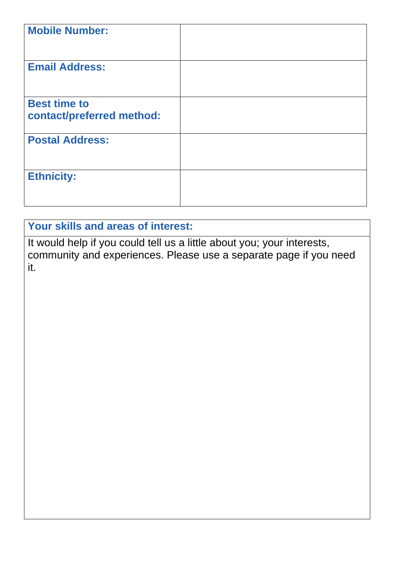| <b>Mobile Number:</b>                            |  |
|--------------------------------------------------|--|
| <b>Email Address:</b>                            |  |
| <b>Best time to</b><br>contact/preferred method: |  |
| <b>Postal Address:</b>                           |  |
| <b>Ethnicity:</b>                                |  |

## **Your skills and areas of interest:**

It would help if you could tell us a little about you; your interests, community and experiences. Please use a separate page if you need it.